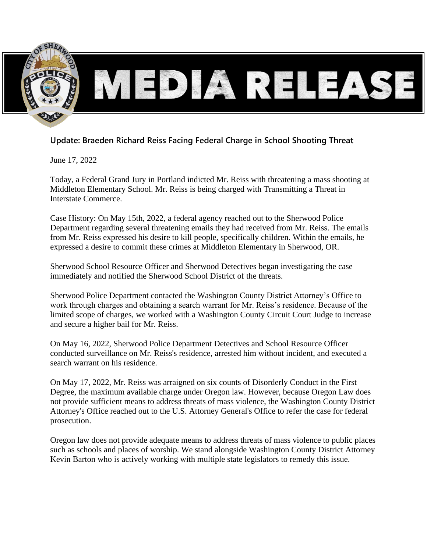

# **Update: Braeden Richard Reiss Facing Federal Charge in School Shooting Threat**

June 17, 2022

Today, a Federal Grand Jury in Portland indicted Mr. Reiss with threatening a mass shooting at Middleton Elementary School. Mr. Reiss is being charged with Transmitting a Threat in Interstate Commerce.

Case History: On May 15th, 2022, a federal agency reached out to the Sherwood Police Department regarding several threatening emails they had received from Mr. Reiss. The emails from Mr. Reiss expressed his desire to kill people, specifically children. Within the emails, he expressed a desire to commit these crimes at Middleton Elementary in Sherwood, OR.

Sherwood School Resource Officer and Sherwood Detectives began investigating the case immediately and notified the Sherwood School District of the threats.

Sherwood Police Department contacted the Washington County District Attorney's Office to work through charges and obtaining a search warrant for Mr. Reiss's residence. Because of the limited scope of charges, we worked with a Washington County Circuit Court Judge to increase and secure a higher bail for Mr. Reiss.

On May 16, 2022, Sherwood Police Department Detectives and School Resource Officer conducted surveillance on Mr. Reiss's residence, arrested him without incident, and executed a search warrant on his residence.

On May 17, 2022, Mr. Reiss was arraigned on six counts of Disorderly Conduct in the First Degree, the maximum available charge under Oregon law. However, because Oregon Law does not provide sufficient means to address threats of mass violence, the Washington County District Attorney's Office reached out to the U.S. Attorney General's Office to refer the case for federal prosecution.

Oregon law does not provide adequate means to address threats of mass violence to public places such as schools and places of worship. We stand alongside Washington County District Attorney Kevin Barton who is actively working with multiple state legislators to remedy this issue.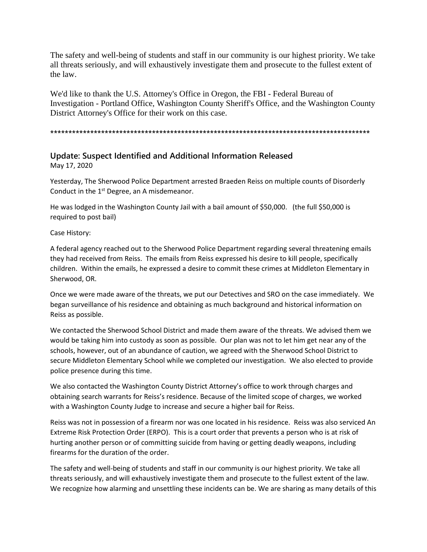The safety and well-being of students and staff in our community is our highest priority. We take all threats seriously, and will exhaustively investigate them and prosecute to the fullest extent of the law.

We'd like to thank the U.S. Attorney's Office in Oregon, the FBI - Federal Bureau of Investigation - Portland Office, Washington County Sheriff's Office, and the Washington County District Attorney's Office for their work on this case.

#### **\*\*\*\*\*\*\*\*\*\*\*\*\*\*\*\*\*\*\*\*\*\*\*\*\*\*\*\*\*\*\*\*\*\*\*\*\*\*\*\*\*\*\*\*\*\*\*\*\*\*\*\*\*\*\*\*\*\*\*\*\*\*\*\*\*\*\*\*\*\*\*\*\*\*\*\*\*\*\*\*\*\*\*\*\*\*\*\***

### **Update: Suspect Identified and Additional Information Released**

May 17, 2020

Yesterday, The Sherwood Police Department arrested Braeden Reiss on multiple counts of Disorderly Conduct in the  $1<sup>st</sup>$  Degree, an A misdemeanor.

He was lodged in the Washington County Jail with a bail amount of \$50,000. (the full \$50,000 is required to post bail)

Case History:

A federal agency reached out to the Sherwood Police Department regarding several threatening emails they had received from Reiss. The emails from Reiss expressed his desire to kill people, specifically children. Within the emails, he expressed a desire to commit these crimes at Middleton Elementary in Sherwood, OR.

Once we were made aware of the threats, we put our Detectives and SRO on the case immediately. We began surveillance of his residence and obtaining as much background and historical information on Reiss as possible.

We contacted the Sherwood School District and made them aware of the threats. We advised them we would be taking him into custody as soon as possible. Our plan was not to let him get near any of the schools, however, out of an abundance of caution, we agreed with the Sherwood School District to secure Middleton Elementary School while we completed our investigation. We also elected to provide police presence during this time.

We also contacted the Washington County District Attorney's office to work through charges and obtaining search warrants for Reiss's residence. Because of the limited scope of charges, we worked with a Washington County Judge to increase and secure a higher bail for Reiss.

Reiss was not in possession of a firearm nor was one located in his residence. Reiss was also serviced An Extreme Risk Protection Order (ERPO). This is a court order that prevents a person who is at risk of hurting another person or of committing suicide from having or getting deadly weapons, including firearms for the duration of the order.

The safety and well-being of students and staff in our community is our highest priority. We take all threats seriously, and will exhaustively investigate them and prosecute to the fullest extent of the law. We recognize how alarming and unsettling these incidents can be. We are sharing as many details of this